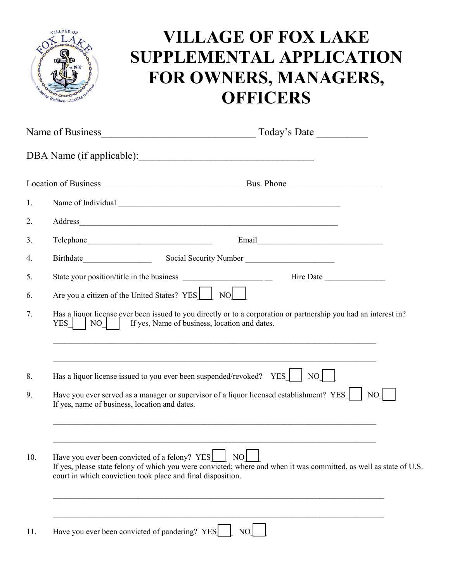

## **VILLAGE OF FOX LAKE SUPPLEMENTAL APPLICATION FOR OWNERS, MANAGERS, OFFICERS**

| Name of Business |                                                                                                                                                                                  | Today's Date                                                                                                                  |
|------------------|----------------------------------------------------------------------------------------------------------------------------------------------------------------------------------|-------------------------------------------------------------------------------------------------------------------------------|
|                  | DBA Name (if applicable):                                                                                                                                                        |                                                                                                                               |
|                  |                                                                                                                                                                                  |                                                                                                                               |
| 1.               |                                                                                                                                                                                  |                                                                                                                               |
| 2.               |                                                                                                                                                                                  |                                                                                                                               |
| 3.               |                                                                                                                                                                                  |                                                                                                                               |
| 4.               | Social Security Number                                                                                                                                                           |                                                                                                                               |
| 5.               |                                                                                                                                                                                  | Hire Date                                                                                                                     |
| 6.               | Are you a citizen of the United States? YES NO                                                                                                                                   |                                                                                                                               |
| 7.               | Has a liquor license ever been issued to you directly or to a corporation or partnership you had an interest in?<br>If yes, Name of business, location and dates.<br>YES  <br>NO |                                                                                                                               |
| 8.               | Has a liquor license issued to you ever been suspended/revoked? YES                                                                                                              | $NO$                                                                                                                          |
| 9.               | Have you ever served as a manager or supervisor of a liquor licensed establishment? YES<br>NO<br>If yes, name of business, location and dates.                                   |                                                                                                                               |
| 10.              | Have you ever been convicted of a felony? YES<br>court in which conviction took place and final disposition.                                                                     | Е<br>NO<br>If yes, please state felony of which you were convicted; where and when it was committed, as well as state of U.S. |
| 11.              | Have you ever been convicted of pandering? YES                                                                                                                                   | NO <sub>1</sub>                                                                                                               |